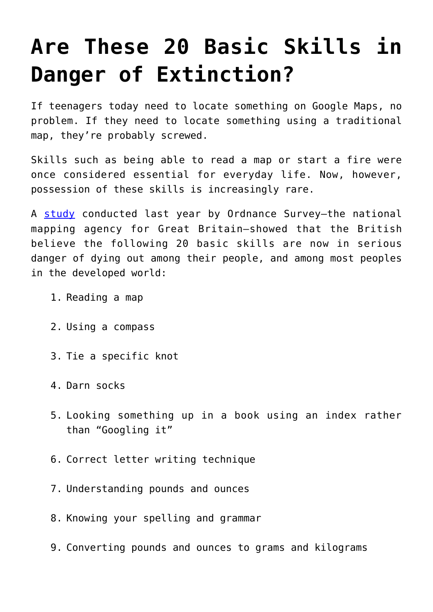## **[Are These 20 Basic Skills in](https://intellectualtakeout.org/2016/03/are-these-20-basic-skills-in-danger-of-extinction/) [Danger of Extinction?](https://intellectualtakeout.org/2016/03/are-these-20-basic-skills-in-danger-of-extinction/)**

If teenagers today need to locate something on Google Maps, no problem. If they need to locate something using a traditional map, they're probably screwed.

Skills such as being able to read a map or start a fire were once considered essential for everyday life. Now, however, possession of these skills is increasingly rare.

A [study](http://www.mirror.co.uk/news/technology-science/technology/20-basic-life-skills-dying-6214224) conducted last year by Ordnance Survey—the national mapping agency for Great Britain—showed that the British believe the following 20 basic skills are now in serious danger of dying out among their people, and among most peoples in the developed world:

- 1. Reading a map
- 2. Using a compass
- 3. Tie a specific knot
- 4. Darn socks
- 5. Looking something up in a book using an index rather than "Googling it"
- 6. Correct letter writing technique
- 7. Understanding pounds and ounces
- 8. Knowing your spelling and grammar
- 9. Converting pounds and ounces to grams and kilograms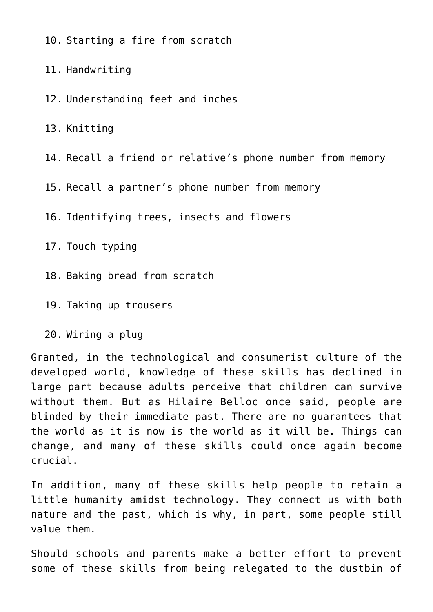10. Starting a fire from scratch

11. Handwriting

12. Understanding feet and inches

13. Knitting

14. Recall a friend or relative's phone number from memory

15. Recall a partner's phone number from memory

16. Identifying trees, insects and flowers

17. Touch typing

18. Baking bread from scratch

19. Taking up trousers

20. Wiring a plug

Granted, in the technological and consumerist culture of the developed world, knowledge of these skills has declined in large part because adults perceive that children can survive without them. But as Hilaire Belloc once said, people are blinded by their immediate past. There are no guarantees that the world as it is now is the world as it will be. Things can change, and many of these skills could once again become crucial.

In addition, many of these skills help people to retain a little humanity amidst technology. They connect us with both nature and the past, which is why, in part, some people still value them.

Should schools and parents make a better effort to prevent some of these skills from being relegated to the dustbin of